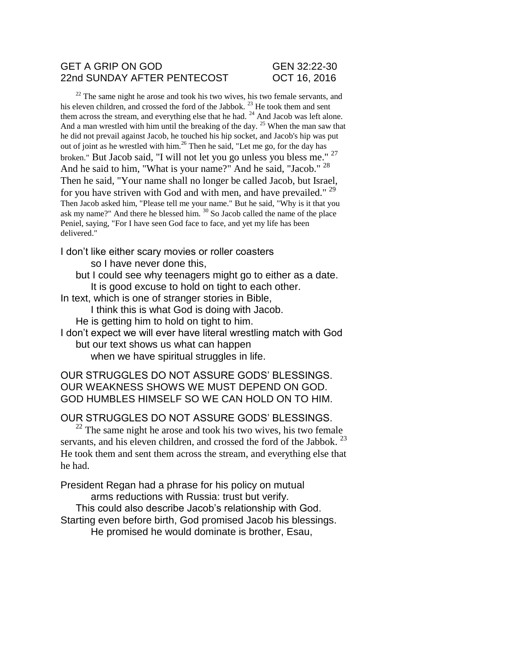## GET A GRIP ON GOD GEN 32:22-30 22nd SUNDAY AFTER PENTECOST OCT 16, 2016

 $22$  The same night he arose and took his two wives, his two female servants, and his eleven children, and crossed the ford of the Jabbok.<sup>23</sup> He took them and sent them across the stream, and everything else that he had.  $24$  And Jacob was left alone. And a man wrestled with him until the breaking of the day.<sup>25</sup> When the man saw that he did not prevail against Jacob, he touched his hip socket, and Jacob's hip was put out of joint as he wrestled with him.<sup>26</sup> Then he said, "Let me go, for the day has broken." But Jacob said, "I will not let you go unless you bless me." <sup>27</sup> And he said to him, "What is your name?" And he said, "Jacob." <sup>28</sup> Then he said, "Your name shall no longer be called Jacob, but Israel, for you have striven with God and with men, and have prevailed." <sup>29</sup> Then Jacob asked him, "Please tell me your name." But he said, "Why is it that you ask my name?" And there he blessed him. <sup>30</sup> So Jacob called the name of the place Peniel, saying, "For I have seen God face to face, and yet my life has been delivered."

I don't like either scary movies or roller coasters so I have never done this,

but I could see why teenagers might go to either as a date. It is good excuse to hold on tight to each other.

In text, which is one of stranger stories in Bible,

I think this is what God is doing with Jacob.

He is getting him to hold on tight to him.

I don't expect we will ever have literal wrestling match with God but our text shows us what can happen

when we have spiritual struggles in life.

OUR STRUGGLES DO NOT ASSURE GODS' BLESSINGS. OUR WEAKNESS SHOWS WE MUST DEPEND ON GOD. GOD HUMBLES HIMSELF SO WE CAN HOLD ON TO HIM.

OUR STRUGGLES DO NOT ASSURE GODS' BLESSINGS.

 $22$  The same night he arose and took his two wives, his two female servants, and his eleven children, and crossed the ford of the Jabbok.  $^{23}$ He took them and sent them across the stream, and everything else that he had.

President Regan had a phrase for his policy on mutual arms reductions with Russia: trust but verify.

This could also describe Jacob's relationship with God. Starting even before birth, God promised Jacob his blessings. He promised he would dominate is brother, Esau,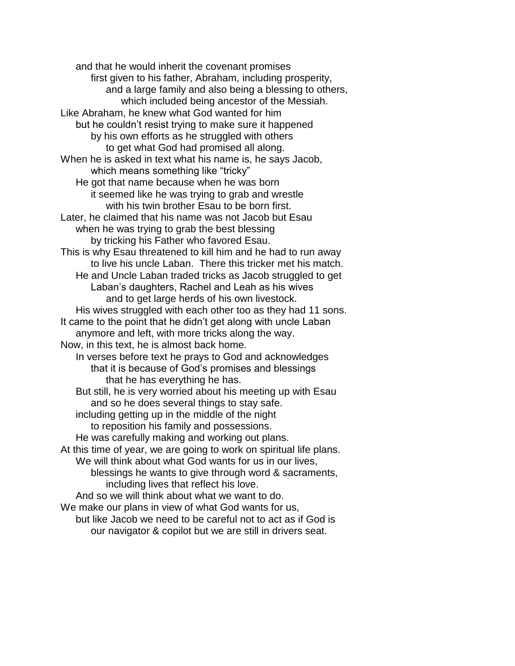and that he would inherit the covenant promises first given to his father, Abraham, including prosperity, and a large family and also being a blessing to others, which included being ancestor of the Messiah. Like Abraham, he knew what God wanted for him but he couldn't resist trying to make sure it happened by his own efforts as he struggled with others to get what God had promised all along. When he is asked in text what his name is, he says Jacob, which means something like "tricky" He got that name because when he was born it seemed like he was trying to grab and wrestle with his twin brother Esau to be born first. Later, he claimed that his name was not Jacob but Esau when he was trying to grab the best blessing by tricking his Father who favored Esau. This is why Esau threatened to kill him and he had to run away to live his uncle Laban. There this tricker met his match. He and Uncle Laban traded tricks as Jacob struggled to get Laban's daughters, Rachel and Leah as his wives and to get large herds of his own livestock. His wives struggled with each other too as they had 11 sons. It came to the point that he didn't get along with uncle Laban anymore and left, with more tricks along the way. Now, in this text, he is almost back home. In verses before text he prays to God and acknowledges that it is because of God's promises and blessings that he has everything he has. But still, he is very worried about his meeting up with Esau and so he does several things to stay safe. including getting up in the middle of the night to reposition his family and possessions. He was carefully making and working out plans. At this time of year, we are going to work on spiritual life plans. We will think about what God wants for us in our lives, blessings he wants to give through word & sacraments, including lives that reflect his love. And so we will think about what we want to do. We make our plans in view of what God wants for us, but like Jacob we need to be careful not to act as if God is our navigator & copilot but we are still in drivers seat.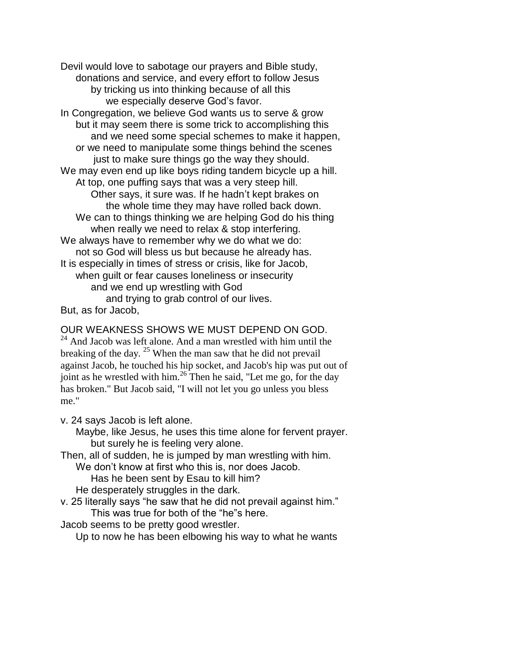Devil would love to sabotage our prayers and Bible study, donations and service, and every effort to follow Jesus by tricking us into thinking because of all this we especially deserve God's favor.

In Congregation, we believe God wants us to serve & grow but it may seem there is some trick to accomplishing this and we need some special schemes to make it happen, or we need to manipulate some things behind the scenes just to make sure things go the way they should. We may even end up like boys riding tandem bicycle up a hill. At top, one puffing says that was a very steep hill. Other says, it sure was. If he hadn't kept brakes on the whole time they may have rolled back down. We can to things thinking we are helping God do his thing when really we need to relax & stop interfering. We always have to remember why we do what we do: not so God will bless us but because he already has. It is especially in times of stress or crisis, like for Jacob, when guilt or fear causes loneliness or insecurity and we end up wrestling with God and trying to grab control of our lives. But, as for Jacob,

## OUR WEAKNESS SHOWS WE MUST DEPEND ON GOD.

 $^{24}$  And Jacob was left alone. And a man wrestled with him until the breaking of the day. <sup>25</sup> When the man saw that he did not prevail against Jacob, he touched his hip socket, and Jacob's hip was put out of joint as he wrestled with him.<sup>26</sup> Then he said, "Let me go, for the day has broken." But Jacob said, "I will not let you go unless you bless me."

v. 24 says Jacob is left alone.

Maybe, like Jesus, he uses this time alone for fervent prayer. but surely he is feeling very alone.

Then, all of sudden, he is jumped by man wrestling with him.

We don't know at first who this is, nor does Jacob.

Has he been sent by Esau to kill him?

He desperately struggles in the dark.

v. 25 literally says "he saw that he did not prevail against him." This was true for both of the "he"s here.

Jacob seems to be pretty good wrestler.

Up to now he has been elbowing his way to what he wants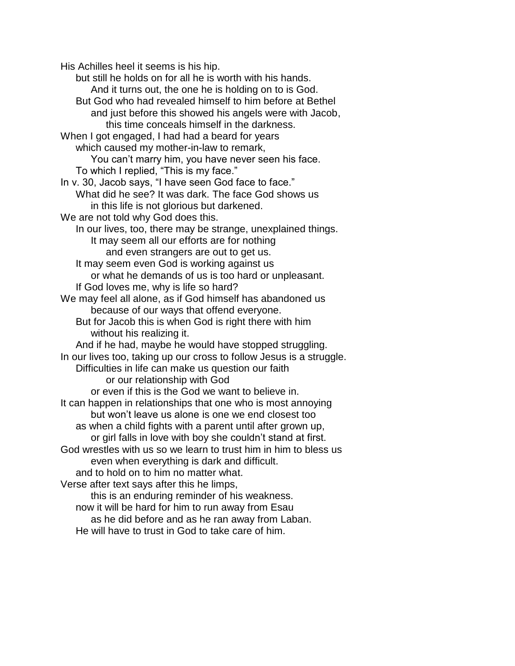His Achilles heel it seems is his hip.

but still he holds on for all he is worth with his hands. And it turns out, the one he is holding on to is God. But God who had revealed himself to him before at Bethel and just before this showed his angels were with Jacob, this time conceals himself in the darkness. When I got engaged, I had had a beard for years which caused my mother-in-law to remark, You can't marry him, you have never seen his face. To which I replied, "This is my face." In v. 30, Jacob says, "I have seen God face to face." What did he see? It was dark. The face God shows us in this life is not glorious but darkened. We are not told why God does this. In our lives, too, there may be strange, unexplained things. It may seem all our efforts are for nothing and even strangers are out to get us. It may seem even God is working against us or what he demands of us is too hard or unpleasant. If God loves me, why is life so hard? We may feel all alone, as if God himself has abandoned us because of our ways that offend everyone. But for Jacob this is when God is right there with him without his realizing it. And if he had, maybe he would have stopped struggling. In our lives too, taking up our cross to follow Jesus is a struggle. Difficulties in life can make us question our faith or our relationship with God or even if this is the God we want to believe in. It can happen in relationships that one who is most annoying but won't leave us alone is one we end closest too as when a child fights with a parent until after grown up, or girl falls in love with boy she couldn't stand at first. God wrestles with us so we learn to trust him in him to bless us even when everything is dark and difficult. and to hold on to him no matter what. Verse after text says after this he limps, this is an enduring reminder of his weakness. now it will be hard for him to run away from Esau as he did before and as he ran away from Laban.

He will have to trust in God to take care of him.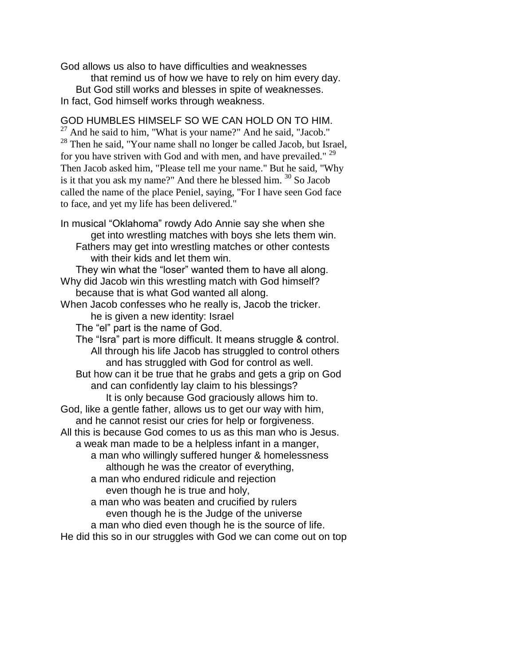God allows us also to have difficulties and weaknesses that remind us of how we have to rely on him every day. But God still works and blesses in spite of weaknesses. In fact, God himself works through weakness.

GOD HUMBLES HIMSELF SO WE CAN HOLD ON TO HIM. <sup>27</sup> And he said to him, "What is your name?" And he said, "Jacob." <sup>28</sup> Then he said, "Your name shall no longer be called Jacob, but Israel, for you have striven with God and with men, and have prevailed." <sup>29</sup> Then Jacob asked him, "Please tell me your name." But he said, "Why is it that you ask my name?" And there he blessed him. <sup>30</sup> So Jacob called the name of the place Peniel, saying, "For I have seen God face to face, and yet my life has been delivered."

In musical "Oklahoma" rowdy Ado Annie say she when she get into wrestling matches with boys she lets them win. Fathers may get into wrestling matches or other contests with their kids and let them win. They win what the "loser" wanted them to have all along.

Why did Jacob win this wrestling match with God himself? because that is what God wanted all along.

When Jacob confesses who he really is, Jacob the tricker. he is given a new identity: Israel

The "el" part is the name of God.

The "Isra" part is more difficult. It means struggle & control. All through his life Jacob has struggled to control others and has struggled with God for control as well.

But how can it be true that he grabs and gets a grip on God and can confidently lay claim to his blessings?

It is only because God graciously allows him to. God, like a gentle father, allows us to get our way with him,

and he cannot resist our cries for help or forgiveness.

All this is because God comes to us as this man who is Jesus. a weak man made to be a helpless infant in a manger,

a man who willingly suffered hunger & homelessness although he was the creator of everything,

a man who endured ridicule and rejection even though he is true and holy,

a man who was beaten and crucified by rulers even though he is the Judge of the universe

a man who died even though he is the source of life.

He did this so in our struggles with God we can come out on top